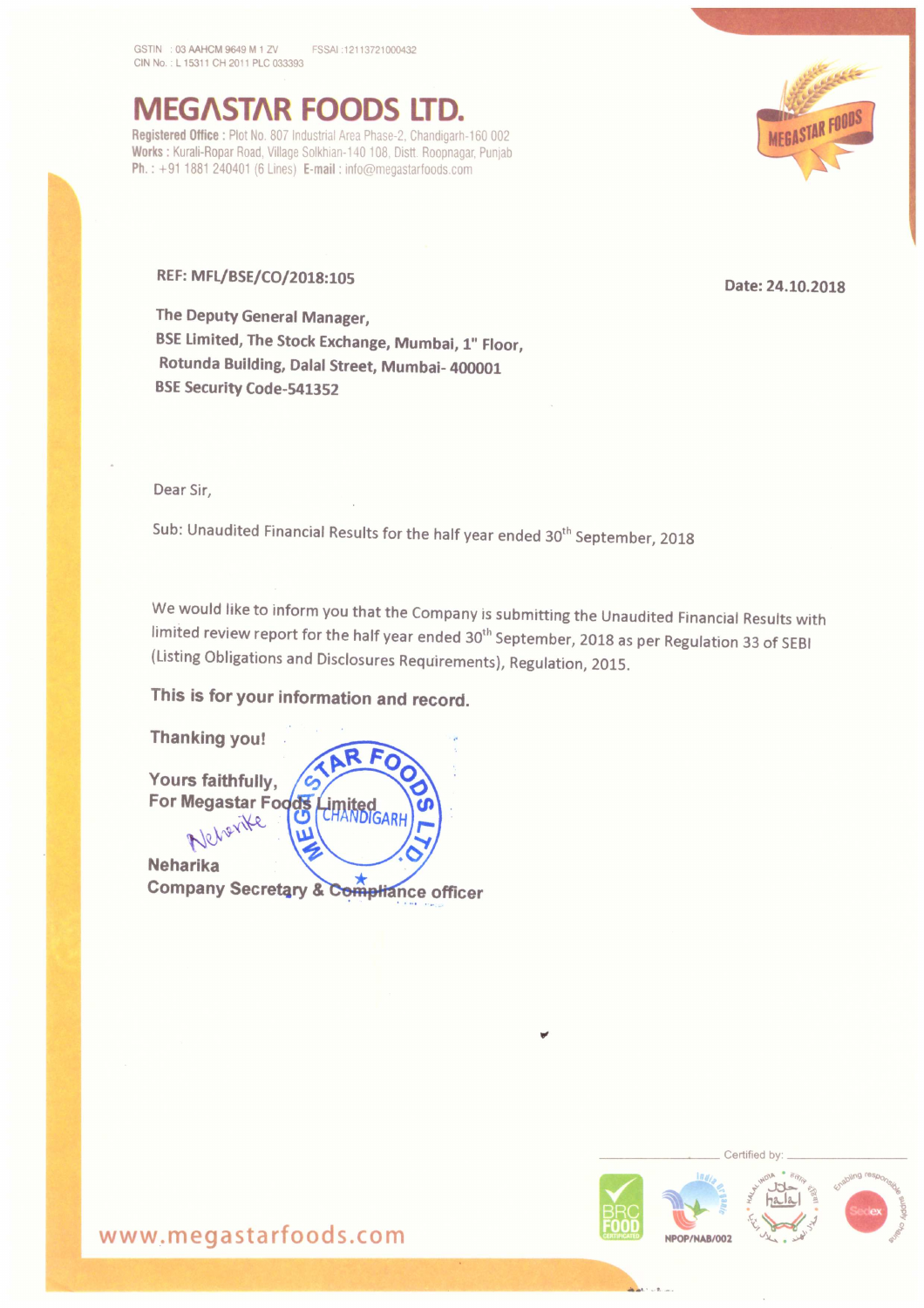GSTIN : 03 AAHCM 9649 M 1 ZV FSSAI :12113721000432 CIN No.: L 15311 CH 2011 PLC 033393

**IEGASTAR FOODS** Registered Office : Plot No. 807 Industrial Area Phase-2, Chandigarh-160 002 Works : Kurali-Ropar Road, Village Solkhian-140 108, Distt. Roopnagar, Punjab Ph.: +91 1881 240401 (6 Lines) E-mail: info@megastarfoods.com



The Deputy General Manager, BSE Limited, The Stock Exchange, Mumbai, 1" Floor, Rotunda Building, Dalal Street, Mumbai- 400001 BSE Security Code-541352

Dear Sir,

Sub: Unaudited Financial Results for the half year ended 30<sup>th</sup> September, 2018

We would like to inform you that the Company is submitting the Unaudited Financial Results with limited review report for the half year ended 30<sup>th</sup> September, 2018 as per Regulation 33 of SEBI (Listing Obligations and Disclosures Requirements), Regulation, 2015.

This is for your information and record.





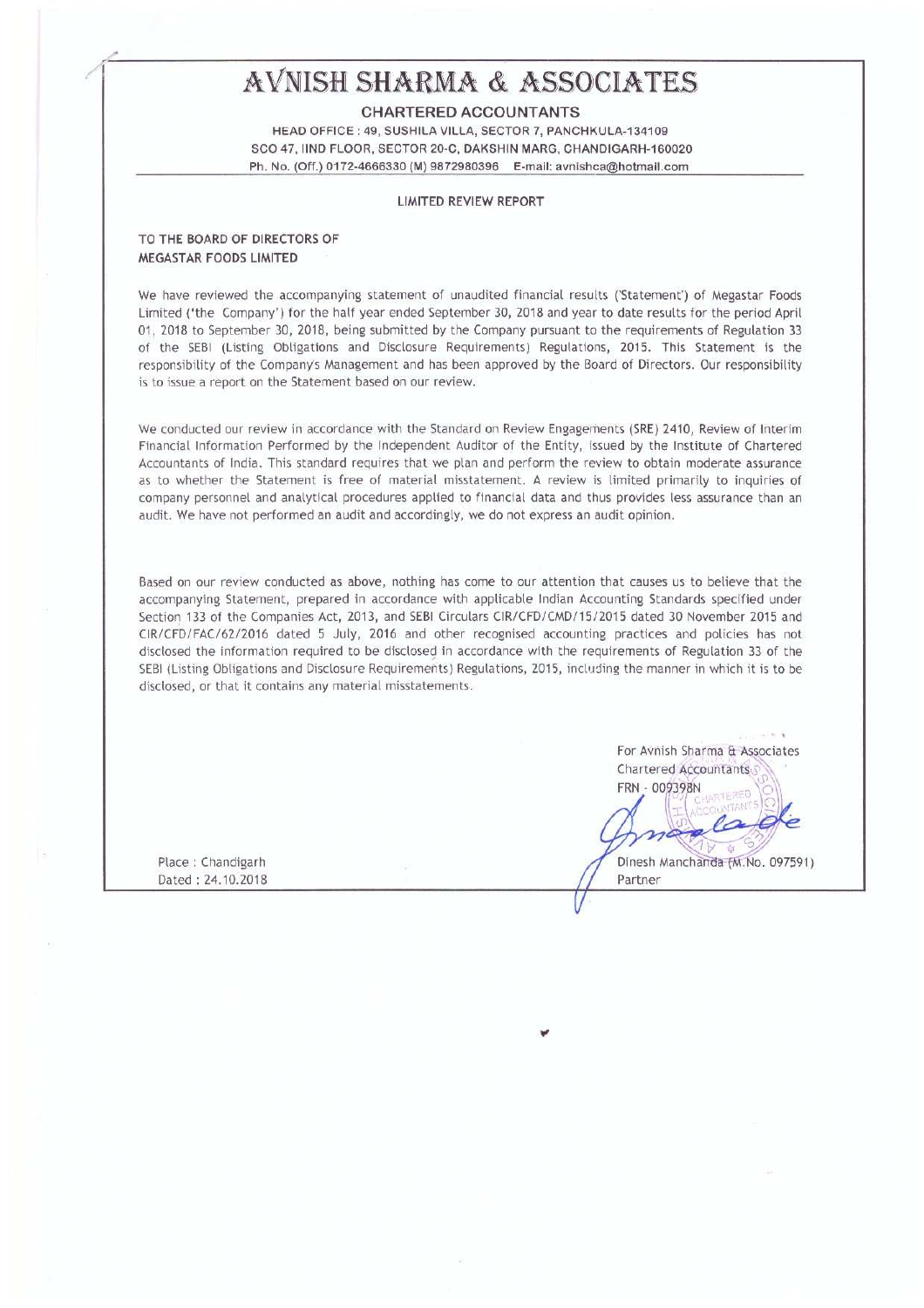# AVNISH SHARMA & ASSOCIATES

CHARTERED ACCOUNTANTS

HEAD OFFICE : 49, SUSHILA VILLA, SECTOR 7, PANCHKULA-134109 SCO 47, IIND FLOOR, SECTOR 20-C, DAKSHIN MARG, CHANDIGARH-160020 Ph. No. loft) 0172-4666330 (M) 9572950396 E-mail: avnishoa@hoimaii,com

### LIMITED REVIEW REPORT

#### TO THE BOARD OF DIRECTORS OF MEGASTAR FOODS LIMITED

We have reviewed the accompanying statement of unaudited financial results ('Statement') of Megastar Foods Limited ('the Company') for the half year ended September 30, 2018 and year to date results for the period April 01, 2018 to September 30, 2018, being submitted by the Company pursuant to the requirements of Regulation 33 of the SEBI (Listing Obligations and Disclosure Requirements) Regulations, 2015. This Statement is the responsibility of the Company's Management and has been approved by the Board of Directors. Our responsibility is to issue <sup>a</sup> report on the Statement based on our review.

We conducted our review in accordance with the Standard on Review Engagements (SRE) 2410, Review of Interim Financial Information Performed by the Independent Auditor of the Entity, issued by the Institute oi Chartered Accountants of India. This standard requires that we plan and perform the review to obtain moderate assurance as to whether the Statement is free of material misstatement. A review is limited primarily to inquiries of company personnel and analytical procedures applied to financial data and thus provides less assurance than an audit. We have not performed an audit and accordingly, we do not express an audit opinion.

Based on our review conducted as above, nothing has Come to our attention that causes us to believe that the accompanying Statement, prepared in accordance with applicable Indian Accounting Standards specified under Section 133 of the Companies Act, 2013, and SEBI Circulars CIR/CFD/CMD/15/2015 dated 30 November 2015 and (IR/CFD/FAC/62/2016 dated <sup>5</sup> July, 2016 and other recognised accounting practices and policies has not disclosed the information required to be disclosed in accordance with the requirements of Regulation 33 of the SEBI (Listing Obligations and Disclosure Requirements) Regulations, 2015, including the manner in which it is to be disclosed. or that it contains any material misstatements.

Place : Chandigarh Dated : 24.10.2018 For Avnish Sharma & Associates Chartered Accountants FRN - 009398N  $\frac{1}{2}$ i Dinesh Manchanda (M.No. 097591)

Partner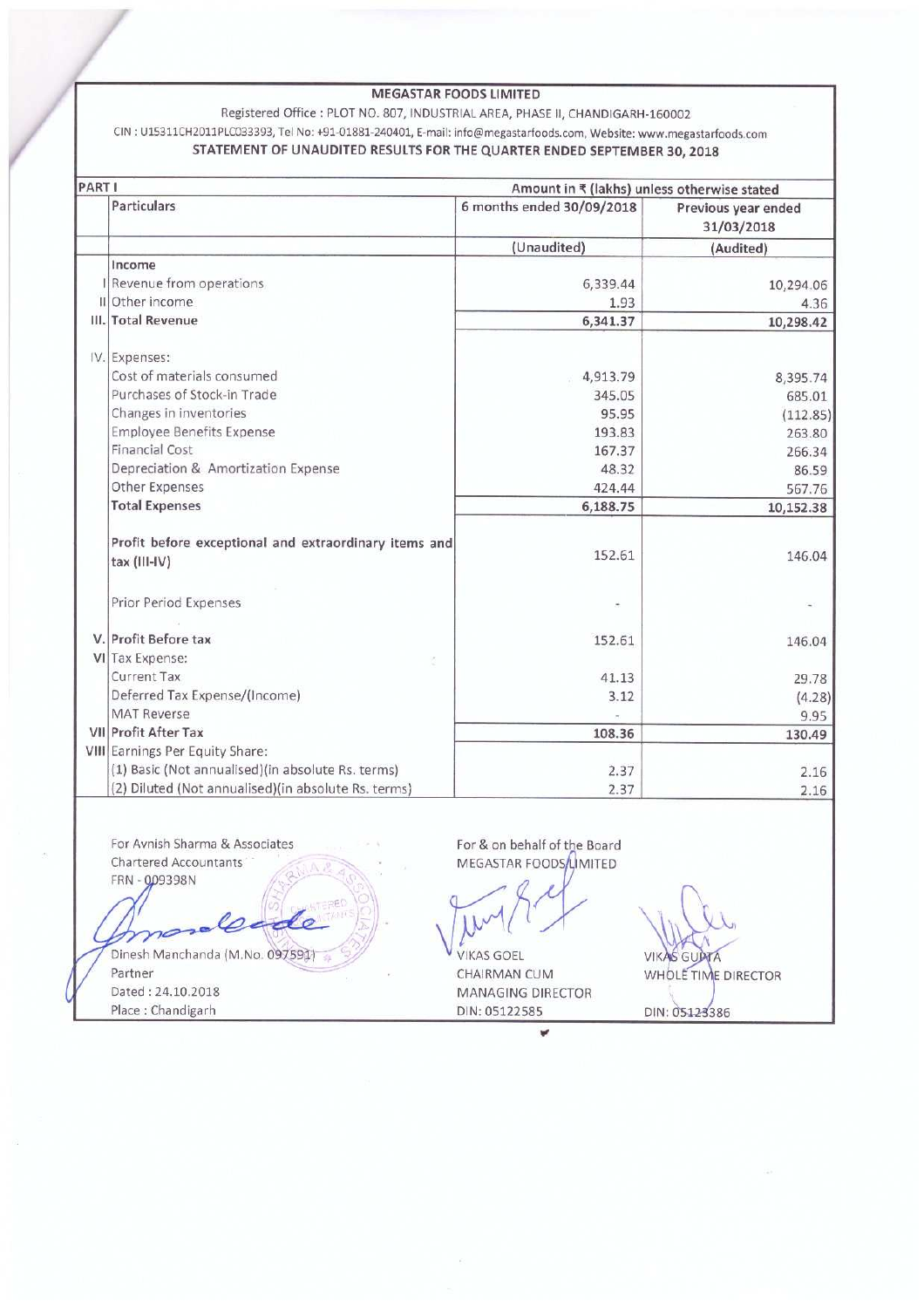# **MEGASTAR FOODS LIMITED**

## Registered Office : PLOT NO. 807, INDUSTRIAL AREA, PHASE II, CHANDIGARH-160002 CIN: U15311CH2011PLC033393, Tel No: +91-01881-240401, E-mail: info@megastarfoods.com, Website: www.megastarfoods.com STATEMENT OF UNAUDITED RESULTS FOR THE QUARTER ENDED SEPTEMBER 30, 2018

| PART I |                                                       | Amount in ₹ (lakhs) unless otherwise stated |                                   |
|--------|-------------------------------------------------------|---------------------------------------------|-----------------------------------|
|        | <b>Particulars</b>                                    | 6 months ended 30/09/2018                   | Previous year ended<br>31/03/2018 |
|        |                                                       | (Unaudited)                                 | (Audited)                         |
|        | Income                                                |                                             |                                   |
|        | I Revenue from operations                             | 6,339.44                                    | 10,294.06                         |
|        | II Other income                                       | 1.93                                        | 4.36                              |
|        | III. Total Revenue                                    | 6,341.37                                    | 10,298.42                         |
|        | IV. Expenses:                                         |                                             |                                   |
|        | Cost of materials consumed                            | 4,913.79                                    | 8,395.74                          |
|        | Purchases of Stock-in Trade                           | 345.05                                      | 685.01                            |
|        | Changes in inventories                                | 95.95                                       | (112.85)                          |
|        | <b>Employee Benefits Expense</b>                      | 193.83                                      | 263.80                            |
|        | <b>Financial Cost</b>                                 | 167.37                                      | 266.34                            |
|        | Depreciation & Amortization Expense                   | 48.32                                       | 86.59                             |
|        | Other Expenses                                        | 424.44                                      | 567.76                            |
|        | <b>Total Expenses</b>                                 | 6,188.75                                    | 10,152.38                         |
|        | Profit before exceptional and extraordinary items and |                                             |                                   |
|        | tax (III-IV)                                          | 152.61                                      | 146.04                            |
|        | Prior Period Expenses                                 |                                             |                                   |
|        |                                                       |                                             |                                   |
|        | V. Profit Before tax                                  | 152.61                                      | 146.04                            |
|        | VI Tax Expense:                                       |                                             |                                   |
|        | Current Tax                                           | 41.13                                       | 29.78                             |
|        | Deferred Tax Expense/(Income)                         | 3.12                                        | (4.28)                            |
|        | <b>MAT Reverse</b>                                    |                                             | 9.95                              |
|        | VII Profit After Tax                                  | 108.36                                      | 130.49                            |
|        | VIII Earnings Per Equity Share:                       |                                             |                                   |
|        | (1) Basic (Not annualised) (in absolute Rs. terms)    | 2.37                                        | 2.16                              |
|        | (2) Diluted (Not annualised) (in absolute Rs. terms)  | 2.37                                        | 2.16                              |

or Avnish Sharma & Ass Chartered Accountants FRN - 009398N

Dinesh Manchanda (M.No. 097591) Partner Dated: 24.10.2018 Place: Chandigarh

For & on behalf of the Board MEGASTAR FOODS/LIMITED

**VIKAS GOEL** CHAIRMAN CUM MANAGING DIRECTOR DIN: 05122585

¥

**VIKAS GUPTA** 

DIN: 05123386

WHOLE TIME DIRECTOR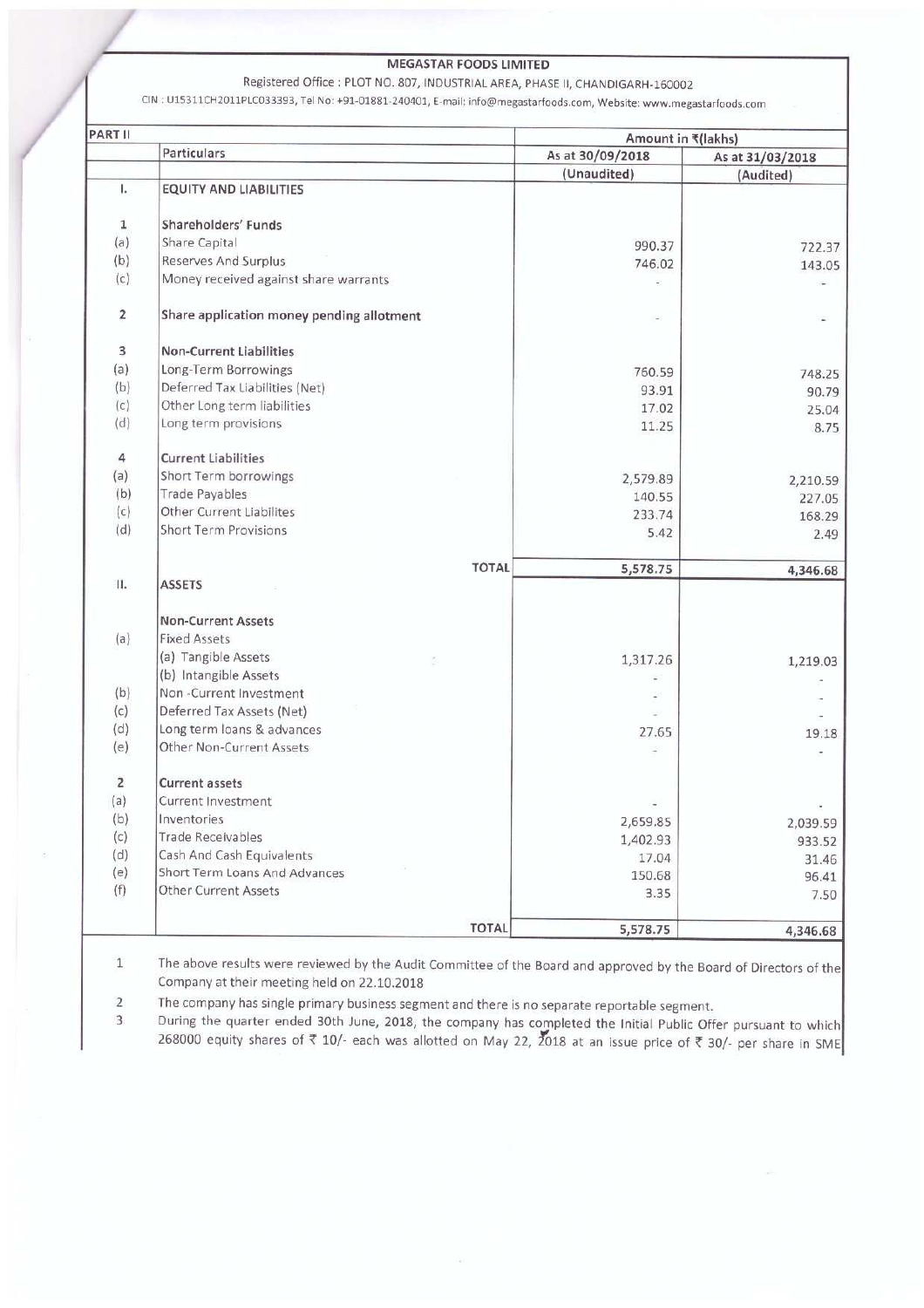## **MEGASTAR FOODS LIMITED**

Registered Office : PLOT NO. 807, INDUSTRIAL AREA, PHASE II, CHANDIGARH-160002

CIN: U15311CH2011PLC033393, Tel No: +91-01881-240401, E-mail: info@megastarfoods.com, Website: www.megastarfoods.com

| PART II        |                                           | Amount in ₹(lakhs) |                  |
|----------------|-------------------------------------------|--------------------|------------------|
|                | Particulars                               | As at 30/09/2018   | As at 31/03/2018 |
|                |                                           | (Unaudited)        | (Audited)        |
| ı.             | <b>EQUITY AND LIABILITIES</b>             |                    |                  |
| 1              | Shareholders' Funds                       |                    |                  |
| (a)            | Share Capital                             | 990.37             | 722.37           |
| (b)            | Reserves And Surplus                      | 746.02             | 143.05           |
| (c)            | Money received against share warrants     |                    |                  |
| 2              | Share application money pending allotment |                    |                  |
| 3              | <b>Non-Current Liabilities</b>            |                    |                  |
| (a)            | Long-Term Borrowings                      | 760.59             | 748.25           |
| (b)            | Deferred Tax Liabilities (Net)            | 93.91              | 90.79            |
| (c)            | Other Long term liabilities               | 17.02              | 25.04            |
| (d)            | Long term provisions                      | 11.25              | 8.75             |
| 4              | <b>Current Liabilities</b>                |                    |                  |
| (a)            | Short Term borrowings                     | 2,579.89           | 2,210.59         |
| (b)            | <b>Trade Payables</b>                     | 140.55             | 227.05           |
| (c)            | Other Current Liabilites                  | 233.74             | 168.29           |
| (d)            | <b>Short Term Provisions</b>              | 5.42               | 2.49             |
|                | <b>TOTAL</b>                              | 5,578.75           | 4,346.68         |
| П.             | <b>ASSETS</b>                             |                    |                  |
|                | <b>Non-Current Assets</b>                 |                    |                  |
| (a)            | <b>Fixed Assets</b>                       |                    |                  |
|                | (a) Tangible Assets<br>ş.                 | 1,317.26           | 1,219.03         |
|                | (b) Intangible Assets                     |                    |                  |
| (b)            | Non-Current Investment                    |                    |                  |
| (c)            | Deferred Tax Assets (Net)                 |                    |                  |
| (d)            | Long term loans & advances                | 27.65              | 19.18            |
| (e)            | Other Non-Current Assets                  |                    |                  |
| $\overline{2}$ | <b>Current assets</b>                     |                    |                  |
| (a)            | Current Investment                        |                    |                  |
| (b)            | Inventories                               | 2,659.85           | 2,039.59         |
| (c)            | <b>Trade Receivables</b>                  | 1,402.93           | 933.52           |
| (d)            | Cash And Cash Equivalents                 | 17.04              | 31.46            |
| (e)            | Short Term Loans And Advances             | 150.68             | 96.41            |
| (f)            | <b>Other Current Assets</b>               | 3.35               | 7.50             |
|                | <b>TOTAL</b>                              | 5,578.75           | 4,346.68         |

 $\mathbbm{1}$ The above results were reviewed by the Audit Committee of the Board and approved by the Board of Directors of the Company at their meeting held on 22.10.2018

The company has single primary business segment and there is no separate reportable segment.  $\overline{2}$ 

During the quarter ended 30th June, 2018, the company has completed the Initial Public Offer pursuant to which<br>268000 equity shares of ₹ 10/- each was allotted on May 22, 2018 at an issue price of ₹ 30/- per share in SME  $\overline{3}$